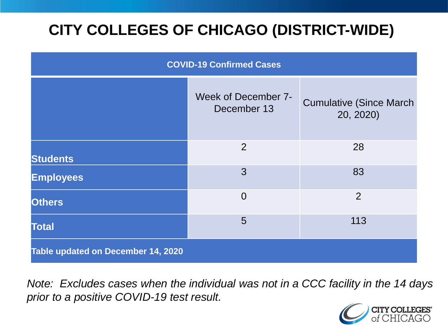# **CITY COLLEGES OF CHICAGO (DISTRICT-WIDE)**

| <b>COVID-19 Confirmed Cases</b>    |                                    |                                              |
|------------------------------------|------------------------------------|----------------------------------------------|
|                                    | Week of December 7-<br>December 13 | <b>Cumulative (Since March)</b><br>20, 2020) |
| <b>Students</b>                    | 2                                  | 28                                           |
| <b>Employees</b>                   | 3                                  | 83                                           |
| <b>Others</b>                      | $\overline{0}$                     | $\overline{2}$                               |
| <b>Total</b>                       | 5                                  | 113                                          |
| Table updated on December 14, 2020 |                                    |                                              |

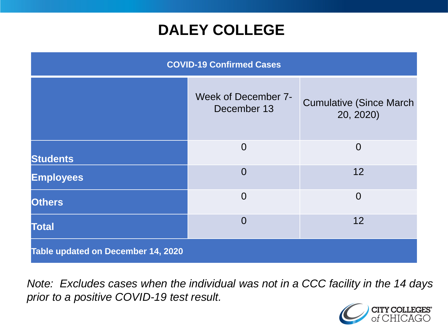## **DALEY COLLEGE**

| <b>COVID-19 Confirmed Cases</b>    |                                           |                                              |
|------------------------------------|-------------------------------------------|----------------------------------------------|
|                                    | <b>Week of December 7-</b><br>December 13 | <b>Cumulative (Since March)</b><br>20, 2020) |
| <b>Students</b>                    | $\Omega$                                  | $\overline{0}$                               |
| <b>Employees</b>                   | $\overline{0}$                            | 12                                           |
| <b>Others</b>                      | $\overline{0}$                            | $\overline{0}$                               |
| <b>Total</b>                       | $\overline{0}$                            | 12                                           |
| Table updated on December 14, 2020 |                                           |                                              |

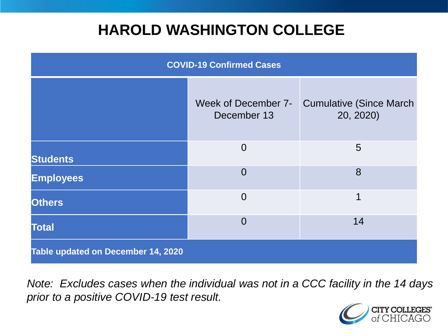## **HAROLD WASHINGTON COLLEGE**

| <b>COVID-19 Confirmed Cases</b>    |                                    |                                              |
|------------------------------------|------------------------------------|----------------------------------------------|
|                                    | Week of December 7-<br>December 13 | <b>Cumulative (Since March)</b><br>20, 2020) |
| <b>Students</b>                    | $\overline{0}$                     | 5                                            |
| <b>Employees</b>                   | $\Omega$                           | 8                                            |
| <b>Others</b>                      | $\overline{0}$                     | 1                                            |
| <b>Total</b>                       | $\Omega$                           | 14                                           |
| Table updated on December 14, 2020 |                                    |                                              |

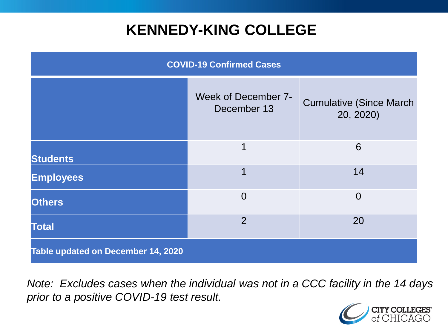## **KENNEDY-KING COLLEGE**

| <b>COVID-19 Confirmed Cases</b>    |                                    |                                              |
|------------------------------------|------------------------------------|----------------------------------------------|
|                                    | Week of December 7-<br>December 13 | <b>Cumulative (Since March)</b><br>20, 2020) |
| <b>Students</b>                    | 1                                  | 6                                            |
| <b>Employees</b>                   | 1                                  | 14                                           |
| <b>Others</b>                      | $\overline{0}$                     | $\overline{0}$                               |
| <b>Total</b>                       | $\overline{2}$                     | 20                                           |
| Table updated on December 14, 2020 |                                    |                                              |

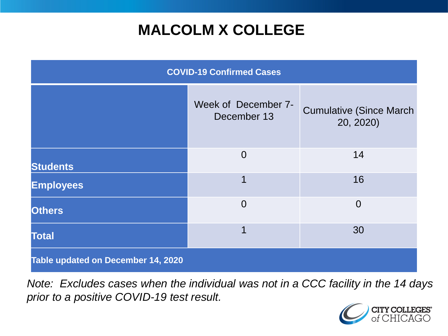# **MALCOLM X COLLEGE**

| <b>COVID-19 Confirmed Cases</b>    |                                    |                                              |
|------------------------------------|------------------------------------|----------------------------------------------|
|                                    | Week of December 7-<br>December 13 | <b>Cumulative (Since March)</b><br>20, 2020) |
| <b>Students</b>                    | $\overline{0}$                     | 14                                           |
| <b>Employees</b>                   | 1                                  | 16                                           |
| <b>Others</b>                      | $\overline{0}$                     | $\overline{0}$                               |
| <b>Total</b>                       | 1                                  | 30                                           |
| Table updated on December 14, 2020 |                                    |                                              |

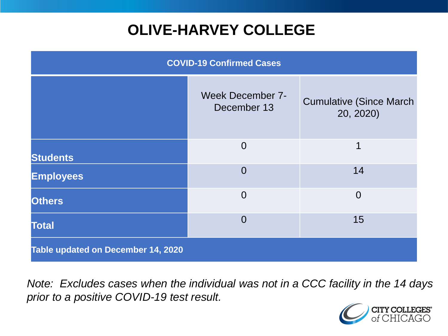# **OLIVE-HARVEY COLLEGE**

| <b>COVID-19 Confirmed Cases</b>    |                                        |                                              |
|------------------------------------|----------------------------------------|----------------------------------------------|
|                                    | <b>Week December 7-</b><br>December 13 | <b>Cumulative (Since March)</b><br>20, 2020) |
| <b>Students</b>                    | $\overline{0}$                         | 1                                            |
| <b>Employees</b>                   | $\Omega$                               | 14                                           |
| <b>Others</b>                      | $\overline{0}$                         | $\overline{0}$                               |
| <b>Total</b>                       | $\Omega$                               | 15                                           |
| Table updated on December 14, 2020 |                                        |                                              |

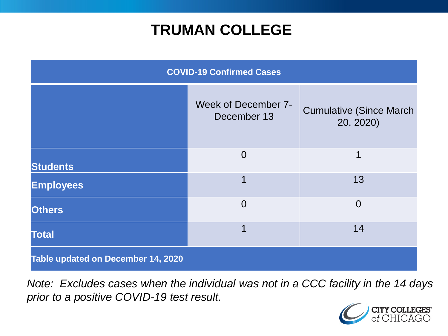## **TRUMAN COLLEGE**

| <b>COVID-19 Confirmed Cases</b>    |                                    |                                              |
|------------------------------------|------------------------------------|----------------------------------------------|
|                                    | Week of December 7-<br>December 13 | <b>Cumulative (Since March)</b><br>20, 2020) |
| <b>Students</b>                    | $\overline{0}$                     | 1                                            |
| <b>Employees</b>                   |                                    | 13                                           |
| <b>Others</b>                      | $\overline{0}$                     | $\overline{0}$                               |
| <b>Total</b>                       | 1                                  | 14                                           |
| Table updated on December 14, 2020 |                                    |                                              |

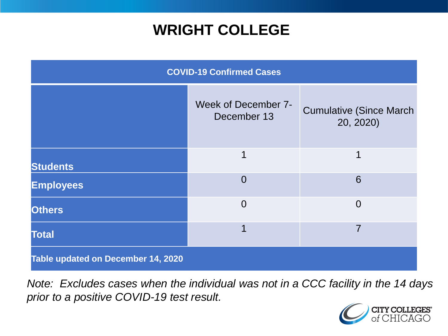## **WRIGHT COLLEGE**

| <b>COVID-19 Confirmed Cases</b>    |                                    |                                              |
|------------------------------------|------------------------------------|----------------------------------------------|
|                                    | Week of December 7-<br>December 13 | <b>Cumulative (Since March)</b><br>20, 2020) |
| <b>Students</b>                    | 1                                  | 1                                            |
| <b>Employees</b>                   | $\overline{0}$                     | 6                                            |
| <b>Others</b>                      | $\overline{0}$                     | $\overline{0}$                               |
| <b>Total</b>                       | ◀                                  | 7                                            |
| Table updated on December 14, 2020 |                                    |                                              |